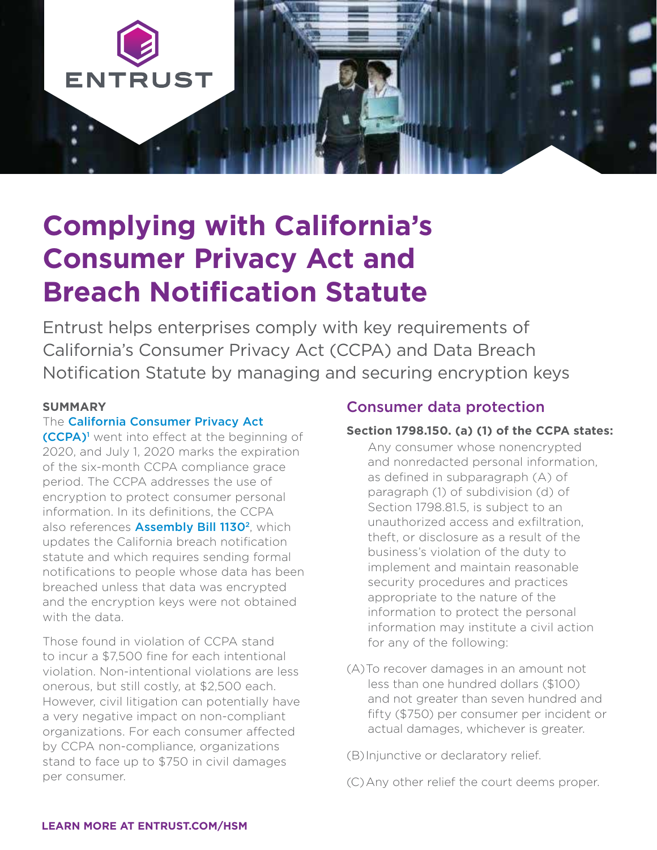

# **Complying with California's Consumer Privacy Act and Breach Notification Statute**

Entrust helps enterprises comply with key requirements of California's Consumer Privacy Act (CCPA) and Data Breach Notification Statute by managing and securing encryption keys

## **SUMMARY**

## The [California Consumer Privacy Act](http://leginfo.legislature.ca.gov/faces/codes_displayText.xhtml?lawCode=CIV&division=3.&title=1.81.5.&part=4.&chapter=&article=)

[\(CCPA\)](http://leginfo.legislature.ca.gov/faces/codes_displayText.xhtml?lawCode=CIV&division=3.&title=1.81.5.&part=4.&chapter=&article=)1 went into effect at the beginning of 2020, and July 1, 2020 marks the expiration of the six-month CCPA compliance grace period. The CCPA addresses the use of encryption to protect consumer personal information. In its definitions, the CCPA also references **Assembly Bill 1130<sup>2</sup>**, which updates the California breach notification statute and which requires sending formal notifications to people whose data has been breached unless that data was encrypted and the encryption keys were not obtained with the data.

Those found in violation of CCPA stand to incur a \$7,500 fine for each intentional violation. Non-intentional violations are less onerous, but still costly, at \$2,500 each. However, civil litigation can potentially have a very negative impact on non-compliant organizations. For each consumer affected by CCPA non-compliance, organizations stand to face up to \$750 in civil damages per consumer.

# Consumer data protection

#### **Section 1798.150. (a) (1) of the CCPA states:**

Any consumer whose nonencrypted and nonredacted personal information, as defined in subparagraph (A) of paragraph (1) of subdivision (d) of Section 1798.81.5, is subject to an unauthorized access and exfiltration, theft, or disclosure as a result of the business's violation of the duty to implement and maintain reasonable security procedures and practices appropriate to the nature of the information to protect the personal information may institute a civil action for any of the following:

(A)To recover damages in an amount not less than one hundred dollars (\$100) and not greater than seven hundred and fifty (\$750) per consumer per incident or actual damages, whichever is greater.

(B)Injunctive or declaratory relief.

(C)Any other relief the court deems proper.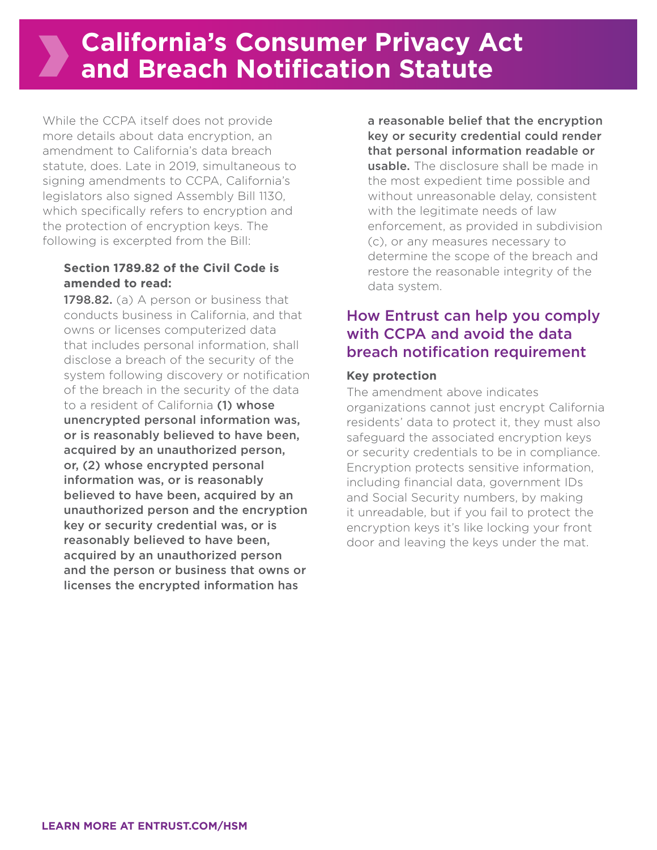#### **[LEARN MORE AT ENTRUST.COM/HSM](http://www.entrust.com/hsm)**

**California's Consumer Privacy Act and Breach Notification Statute**

While the CCPA itself does not provide more details about data encryption, an amendment to California's data breach statute, does. Late in 2019, simultaneous to signing amendments to CCPA, California's legislators also signed Assembly Bill 1130, which specifically refers to encryption and the protection of encryption keys. The following is excerpted from the Bill:

## **Section 1789.82 of the Civil Code is amended to read:**

1798.82. (a) A person or business that conducts business in California, and that owns or licenses computerized data that includes personal information, shall disclose a breach of the security of the system following discovery or notification of the breach in the security of the data to a resident of California (1) whose unencrypted personal information was, or is reasonably believed to have been, acquired by an unauthorized person, or, (2) whose encrypted personal information was, or is reasonably believed to have been, acquired by an unauthorized person and the encryption key or security credential was, or is reasonably believed to have been, acquired by an unauthorized person and the person or business that owns or licenses the encrypted information has

a reasonable belief that the encryption key or security credential could render that personal information readable or usable. The disclosure shall be made in the most expedient time possible and without unreasonable delay, consistent with the legitimate needs of law enforcement, as provided in subdivision (c), or any measures necessary to determine the scope of the breach and restore the reasonable integrity of the data system.

# How Entrust can help you comply with CCPA and avoid the data breach notification requirement

## **Key protection**

The amendment above indicates organizations cannot just encrypt California residents' data to protect it, they must also safeguard the associated encryption keys or security credentials to be in compliance. Encryption protects sensitive information, including financial data, government IDs and Social Security numbers, by making it unreadable, but if you fail to protect the encryption keys it's like locking your front door and leaving the keys under the mat.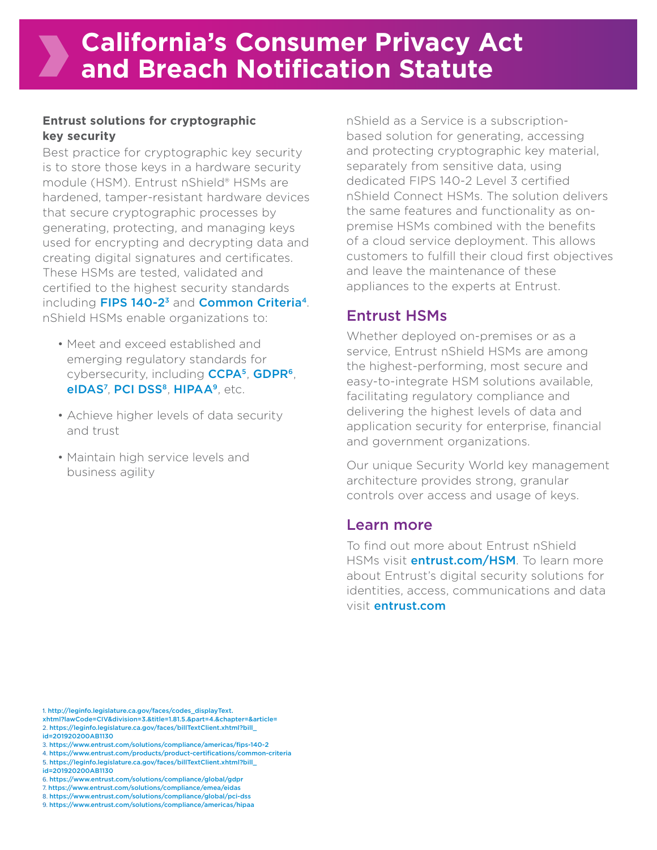## **Entrust solutions for cryptographic key security**

Best practice for cryptographic key security is to store those keys in a hardware security module (HSM). Entrust nShield® HSMs are hardened, tamper-resistant hardware devices that secure cryptographic processes by generating, protecting, and managing keys used for encrypting and decrypting data and creating digital signatures and certificates. These HSMs are tested, validated and certified to the highest security standards including FIPS 140-2<sup>3</sup> and **[Common Criteria](https://www.entrust.com/products/product-certifications/common-criteria)<sup>4</sup>**. nShield HSMs enable organizations to:

- Meet and exceed established and emerging regulatory standards for cybersecurity, including **CCPA<sup>5</sup>, GDPR<sup>6</sup>,** eIDAS<sup>7</sup>, PCI DSS<sup>8</sup>, HIPAA<sup>9</sup>, etc.
- Achieve higher levels of data security and trust
- Maintain high service levels and business agility

nShield as a Service is a subscriptionbased solution for generating, accessing and protecting cryptographic key material, separately from sensitive data, using dedicated FIPS 140-2 Level 3 certified nShield Connect HSMs. The solution delivers the same features and functionality as onpremise HSMs combined with the benefits of a cloud service deployment. This allows customers to fulfill their cloud first objectives and leave the maintenance of these appliances to the experts at Entrust.

# Entrust HSMs

Whether deployed on-premises or as a service, Entrust nShield HSMs are among the highest-performing, most secure and easy-to-integrate HSM solutions available, facilitating regulatory compliance and delivering the highest levels of data and application security for enterprise, financial and government organizations.

Our unique Security World key management architecture provides strong, granular controls over access and usage of keys.

# Learn more

To find out more about Entrust nShield HSMs visit **[entrust.com/HSM](http://www.entrust.com/hsm)**. To learn more about Entrust's digital security solutions for identities, access, communications and data visit [entrust.com](http://www.entrust.com)

<sup>1.</sup> [http://leginfo.legislature.ca.gov/faces/codes\\_displayText.](http://leginfo.legislature.ca.gov/faces/codes_displayText.xhtml?lawCode=CIV&division=3.&title=1.81.5.&part=4.&chapter=&article=)

[xhtml?lawCode=CIV&division=3.&title=1.81.5.&part=4.&chapter=&article=](http://leginfo.legislature.ca.gov/faces/codes_displayText.xhtml?lawCode=CIV&division=3.&title=1.81.5.&part=4.&chapter=&article=) 2. [https://leginfo.legislature.ca.gov/faces/billTextClient.xhtml?bill\\_](https://leginfo.legislature.ca.gov/faces/billTextClient.xhtml?bill_id=201920200AB1130) [id=201920200AB1130](https://leginfo.legislature.ca.gov/faces/billTextClient.xhtml?bill_id=201920200AB1130)

<sup>3.</sup> <https://www.entrust.com/solutions/compliance/americas/fips-140-2>

<sup>4.</sup> <https://www.entrust.com/products/product-certifications/common-criteria> 5. [https://leginfo.legislature.ca.gov/faces/billTextClient.xhtml?bill\\_](https://leginfo.legislature.ca.gov/faces/billTextClient.xhtml?bill_id=201920200AB1130)

[id=201920200AB1130](https://leginfo.legislature.ca.gov/faces/billTextClient.xhtml?bill_id=201920200AB1130)

<sup>6.</sup> <https://www.entrust.com/solutions/compliance/global/gdpr>

<sup>7.</sup> <https://www.entrust.com/solutions/compliance/emea/eidas>

<sup>8.</sup> <https://www.entrust.com/solutions/compliance/global/pci-dss>

<sup>9.</sup> <https://www.entrust.com/solutions/compliance/americas/hipaa>